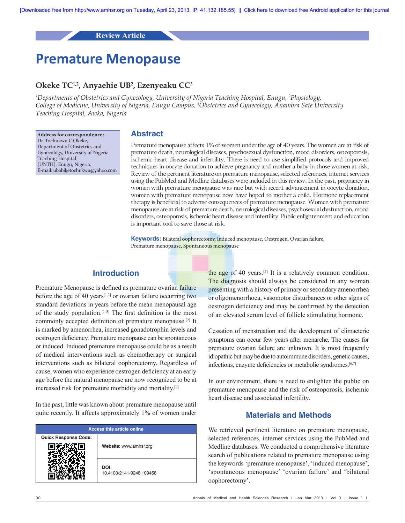# **Review Article**

# **Premature Menopause**

# **Okeke TC1,2, Anyaehie UB2 , Ezenyeaku CC3**

*1 Departments of Obstetrics and Gynecology, University of Nigeria Teaching Hospital, Enugu, 2 Physiology, College of Medicine, University of Nigeria, Enugu Campus, 3 Obstetrics and Gynecology, Anambra Sate University Teaching Hospital, Awka, Nigeria*

**Address for correspondence:** Dr. Tochukwu C Okeke, Department of Obstetrics and Gynecology, University of Nigeria Teaching Hospital, (UNTH), Enugu, Nigeria. E‑mail: ubabiketochukwu@yahoo.com

# **Abstract**

Premature menopause affects 1% of women under the age of 40 years. The women are at risk of premature death, neurological diseases, psychosexual dysfunction, mood disorders, osteoporosis, ischemic heart disease and infertility. There is need to use simplified protocols and improved techniques in oocyte donation to achieve pregnancy and mother a baby in those women at risk. Review of the pertinent literature on premature menopause, selected references, internet services using the PubMed and Medline databases were included in this review. In the past, pregnancy in women with premature menopause was rare but with recent advancement in oocyte donation, women with premature menopause now have hoped to mother a child. Hormone replacement therapy is beneficial to adverse consequences of premature menopause. Women with premature menopause are at risk of premature death, neurological diseases, psychosexual dysfunction, mood disorders, osteoporosis, ischemic heart disease and infertility. Public enlightenment and education is important tool to save those at risk.

**Keywords:** Bilateral oophorectomy, Induced menopause, Oestrogen, Ovarian failure, Premature menopause, Spontaneous menopause

# **Introduction**

Premature Menopause is defined as premature ovarian failure before the age of 40 years $[1,2]$  or ovarian failure occurring two standard deviations in years before the mean menopausal age of the study population.<sup>[1-3]</sup> The first definition is the most commonly accepted definition of premature menopause.[2] It is marked by amenorrhea, increased gonadotrophin levels and oestrogen deficiency. Premature menopause can be spontaneous or induced. Induced premature menopause could be as a result of medical interventions such as chemotherapy or surgical interventions such as bilateral oophorectomy. Regardless of cause, women who experience oestrogen deficiency at an early age before the natural menopause are now recognized to be at increased risk for premature morbidity and mortality.[4]

In the past, little was known about premature menopause until quite recently. It affects approximately 1% of women under

| <b>Access this article online</b> |                                  |
|-----------------------------------|----------------------------------|
| <b>Quick Response Code:</b>       | Website: www.amhsr.org           |
|                                   | DOI:<br>10.4103/2141-9248.109458 |

the age of 40 years.<sup>[5]</sup> It is a relatively common condition. The diagnosis should always be considered in any woman presenting with a history of primary or secondary amenorrhea or oligomenorrhoea, vasomotor disturbances or other signs of oestrogen deficiency and may be confirmed by the detection of an elevated serum level of follicle stimulating hormone.

Cessation of menstruation and the development of climacteric symptoms can occur few years after menarche. The causes for premature ovarian failure are unknown. It is most frequently idiopathic but may be due to autoimmune disorders, genetic causes, infections, enzyme deficiencies or metabolic syndromes.<sup>[6,7]</sup>

In our environment, there is need to enlighten the public on premature menopause and the risk of osteoporosis, ischemic heart disease and associated infertility.

# **Materials and Methods**

We retrieved pertinent literature on premature menopause, selected references, internet services using the PubMed and Medline databases. We conducted a comprehensive literature search of publications related to premature menopause using the keywords 'premature menopause', 'induced menopause', 'spontaneous menopause' 'ovarian failure' and 'bilateral oophorectomy'.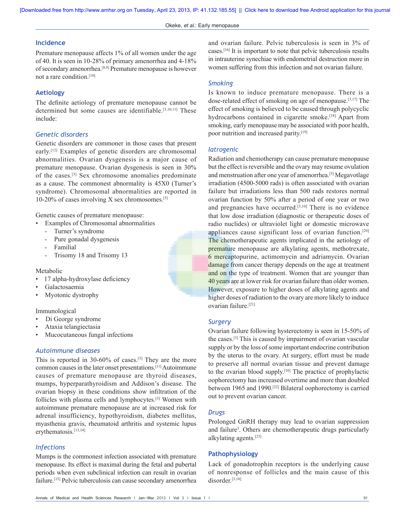## **Incidence**

Premature menopause affects 1% of all women under the age of 40. It is seen in 10‑28% of primary amenorrhea and 4‑18% of secondary amenorrhea.[8,9] Premature menopause is however not a rare condition.[10]

# **Aetiology**

The definite aetiology of premature menopause cannot be determined but some causes are identifiable.<sup>[3,10,11]</sup> These include:

# *Genetic disorders*

Genetic disorders are commoner in those cases that present early.[12] Examples of genetic disorders are chromosomal abnormalities. Ovarian dysgenesis is a major cause of premature menopause. Ovarian dysgenesis is seen in 30% of the cases.[3] Sex chromosome anomalies predominate as a cause. The commonest abnormality is 45X0 (Turner's syndrome). Chromosomal abnormalities are reported in 10-20% of cases involving X sex chromosomes. $[3]$ 

Genetic causes of premature menopause:

- Examples of Chromosomal abnormalities
	- ‑ Turner's syndrome
	- ‑ Pure gonadal dysgenesis
	- ‑ Familial
	- ‑ Trisomy 18 and Trisomy 13

Metabolic

- 17 alpha‑hydroxylase deficiency
- Galactosaemia
- Myotonic dystrophy

# Immunological

- Di George syndrome
- Ataxia telangiectasia
- Mucocutaneous fungal infections

# *Autoimmune diseases*

This is reported in 30-60% of cases.<sup>[3]</sup> They are the more common causes in the later onset presentations.[11] Autoimmune causes of premature menopause are thyroid diseases, mumps, hyperparathyroidism and Addison's disease. The ovarian biopsy in these conditions show infiltration of the follicles with plasma cells and lymphocytes.[3] Women with autoimmune premature menopause are at increased risk for adrenal insufficiency, hypothyroidism, diabetes mellitus, myasthenia gravis, rheumatoid arthritis and systemic lupus erythematosis.<sup>[13,14]</sup>

#### *Infections*

Mumps is the commonest infection associated with premature menopause. Its effect is maximal during the fetal and pubertal periods when even subclinical infection can result in ovarian failure.[15] Pelvic tuberculosis can cause secondary amenorrhea and ovarian failure. Pelvic tuberculosis is seen in 3% of cases.[16] It is important to note that pelvic tuberculosis results in intrauterine synechiae with endometrial destruction more in women suffering from this infection and not ovarian failure.

#### *Smoking*

Is known to induce premature menopause. There is a dose-related effect of smoking on age of menopause.<sup>[3,17]</sup> The effect of smoking is believed to be caused through polycyclic hydrocarbons contained in cigarette smoke.<sup>[18]</sup> Apart from smoking, early menopause may be associated with poor health, poor nutrition and increased parity.[19]

# *Iatrogenic*

Radiation and chemotherapy can cause premature menopause but the effect is reversible and the ovary may resume ovulation and menstruation after one year of amenorrhea.[3] Megavotlage irradiation (4500‑5000 rads) is often associated with ovarian failure but irradiations less than 500 rads restores normal ovarian function by 50% after a period of one year or two and pregnancies have occurred.[3,10] There is no evidence that low dose irradiation (diagnostic or therapeutic doses of radio nuclides) or ultraviolet light or domestic microwave appliances cause significant loss of ovarian function.[20] The chemotherapeutic agents implicated in the aetiology of premature menopause are alkylating agents, methotrexate, 6 mercaptopurine, actimomycin and adriamycin. Ovarian damage from cancer therapy depends on the age at treatment and on the type of treatment. Women that are younger than 40 years are at lower risk for ovarian failure than older women. However, exposure to higher doses of alkylating agents and higher doses of radiation to the ovary are more likely to induce ovarian failure.[21]

## *Surgery*

Ovarian failure following hysterectomy is seen in 15‑50% of the cases.[3] This is caused by impairment of ovarian vascular supply or by the loss of some important endocrine contribution by the uterus to the ovary. At surgery, effort must be made to preserve all normal ovarian tissue and prevent damage to the ovarian blood supply.[10] The practice of prophylactic oophorectomy has increased overtime and more than doubled between 1965 and 1990.[22] Bilateral oophorectomy is carried out to prevent ovarian cancer.

#### *Drugs*

Prolonged GnRH therapy may lead to ovarian suppression and failure<sup>3</sup>. Others are chemotherapeutic drugs particularly alkylating agents.[23]

# **Pathophysiology**

Lack of gonadotrophin receptors is the underlying cause of nonresponse of follicles and the main cause of this disorder.<sup>[3,10]</sup>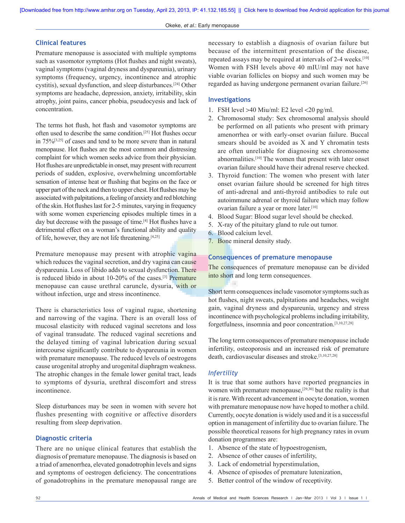**[Downloaded free from http://www.amhsr.org on Tuesday, April 23, 2013, IP: 41.132.185.55] || [Click here to download free Android application for this journal](https://market.android.com/details?id=comm.app.medknow)**

# **Clinical features**

Premature menopause is associated with multiple symptoms such as vasomotor symptoms (Hot flushes and night sweats), vaginal symptoms (vaginal dryness and dyspareunia), urinary symptoms (frequency, urgency, incontinence and atrophic cystitis), sexual dysfunction, and sleep disturbances.[24] Other symptoms are headache, depression, anxiety, irritability, skin atrophy, joint pains, cancer phobia, pseudocyesis and lack of concentration.

The terms hot flush, hot flash and vasomotor symptoms are often used to describe the same condition.[25] Hot flushes occur in 75%[3,25] of cases and tend to be more severe than in natural menopause. Hot flushes are the most common and distressing complaint for which women seeks advice from their physician. Hot flushes are unpredictable in onset, may present with recurrent periods of sudden, explosive, overwhelming uncomfortable sensation of intense heat or flushing that begins on the face or upper part of the neck and then to upper chest. Hot flushes may be associated with palpitations, a feeling of anxiety and red blotching of the skin. Hot flushes last for 2‑5 minutes, varying in frequency with some women experiencing episodes multiple times in a day but decrease with the passage of time.<sup>[4]</sup> Hot flushes have a detrimental effect on a woman's functional ability and quality of life, however, they are not life threatening.[4,25]

Premature menopause may present with atrophic vagina which reduces the vaginal secretion, and dry vagina can cause dyspareunia. Loss of libido adds to sexual dysfunction. There is reduced libido in about 10‑20% of the cases.[3] Premature menopause can cause urethral caruncle, dysuria, with or without infection, urge and stress incontinence.

There is characteristics loss of vaginal rugae, shortening and narrowing of the vagina. There is an overall loss of mucosal elasticity with reduced vaginal secretons and loss of vaginal transudate. The reduced vaginal secretions and the delayed timing of vaginal lubrication during sexual intercourse significantly contribute to dyspareunia in women with premature menopause. The reduced levels of oestrogens cause urogenital atrophy and urogenital diaphragm weakness. The atrophic changes in the female lower genital tract, leads to symptoms of dysuria, urethral discomfort and stress incontinence.

Sleep disturbances may be seen in women with severe hot flushes presenting with cognitive or affective disorders resulting from sleep deprivation.

#### **Diagnostic criteria**

There are no unique clinical features that establish the diagnosis of premature menopause. The diagnosis is based on a triad of amenorrhea, elevated gonadotrophin levels and signs and symptoms of oestrogen deficiency. The concentrations of gonadotrophins in the premature menopausal range are

necessary to establish a diagnosis of ovarian failure but because of the intermittent presentation of the disease, repeated assays may be required at intervals of 2-4 weeks.<sup>[10]</sup> Women with FSH levels above 40 mIU/ml may not have viable ovarian follicles on biopsy and such women may be regarded as having undergone permanent ovarian failure.[26]

#### **Investigations**

- 1. FSH level >40 Miu/ml: E2 level <20 pg/ml.
- 2. Chromosomal study: Sex chromosomal analysis should be performed on all patients who present with primary amenorrhea or with early‑onset ovarian failure. Buccal smears should be avoided as X and Y chromatin tests are often unreliable for diagnosing sex chromosome abnormalities.[10] The women that present with later onset ovarian failure should have their adrenal reserve checked.
- 3. Thyroid function: The women who present with later onset ovarian failure should be screened for high titres of anti‑adrenal and anti‑thyroid antibodies to rule out autoimmune adrenal or thyroid failure which may follow ovarian failure a year or more later.<sup>[10]</sup>
- 4. Blood Sugar: Blood sugar level should be checked.
- 5. X‑ray of the pituitary gland to rule out tumor.
- 6. Blood calcium level.
- 7. Bone mineral density study.

# **Consequences of premature menopause**

The consequences of premature menopause can be divided into short and long term consequences.

Short term consequences include vasomotor symptoms such as hot flushes, night sweats, palpitations and headaches, weight gain, vaginal dryness and dyspareunia, urgency and stress incontinence with psychological problems including irritability, forgetfulness, insomnia and poor concentration.[3,10,27,28]

The long term consequences of premature menopause include infertility, osteoporosis and an increased risk of premature death, cardiovascular diseases and stroke.[3,10,27,28]

# *Infertility*

It is true that some authors have reported pregnancies in women with premature menopause, $[29,30]$  but the reality is that it is rare. With recent advancement in oocyte donation, women with premature menopause now have hoped to mother a child. Currently, oocyte donation is widely used and it is a successful option in management of infertility due to ovarian failure. The possible theoretical reasons for high pregnancy rates in ovum donation programmes are:

- 1. Absence of the state of hypoestrogenism,
- 2. Absence of other causes of infertility,
- 3. Lack of endometrial hyperstimulation,
- 4. Absence of episodes of premature lutenization,
- 5. Better control of the window of receptivity.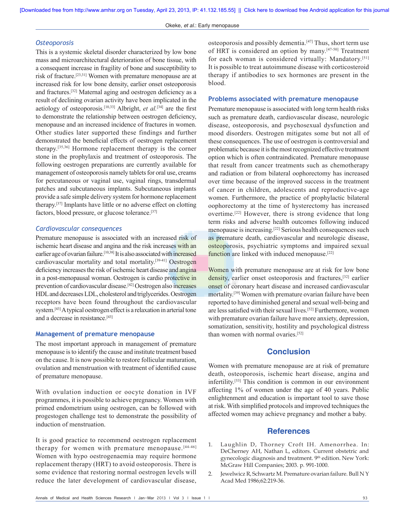**[Downloaded free from http://www.amhsr.org on Tuesday, April 23, 2013, IP: 41.132.185.55] || [Click here to download free Android application for this journal](https://market.android.com/details?id=comm.app.medknow)**

#### *Osteoporosis*

This is a systemic skeletal disorder characterized by low bone mass and microarchitectural deterioration of bone tissue, with a consequent increase in fragility of bone and susceptibility to risk of fracture.[23,31] Women with premature menopause are at increased risk for low bone density, earlier onset osteoporosis and fractures.[32] Maternal aging and oestrogen deficiency as a result of declining ovarian activity have been implicated in the aetiology of osteoporosis.[10,33] Albright, *et al.*[34] are the first to demonstrate the relationship between oestrogen deficiency, menopause and an increased incidence of fractures in women. Other studies later supported these findings and further demonstrated the beneficial effects of oestrogen replacement therapy.[35,36] Hormone replacement therapy is the corner stone in the prophylaxis and treatment of osteoporosis. The following oestrogen preparations are currently available for management of osteoporosis namely tablets for oral use, creams for percutaneous or vaginal use, vaginal rings, transdermal patches and subcutaneous implants. Subcutaneous implants provide a safe simple delivery system for hormone replacement therapy.[37] Implants have little or no adverse effect on clotting factors, blood pressure, or glucose tolerance.[37]

# *Cardiovascular consequences*

Premature menopause is associated with an increased risk of ischemic heart disease and angina and the risk increases with an earlier age of ovarian failure.<sup>[10,38]</sup> It is also associated with increased cardiovascular mortality and total mortality.<sup>[39-41]</sup> Oestrogen deficiency increases the risk of ischemic heart disease and angina in a post-menopausal woman. Oestrogen is cardio protective in prevention of cardiovascular disease.[42] Oestrogen also increases HDL and decreases LDL, cholesterol and triglycerides. Oestrogen receptors have been found throughout the cardiovascular system.[43] A typical oestrogen effect is a relaxation in arterial tone and a decrease in resistance.[43]

# **Management of premature menopause**

The most important approach in management of premature menopause is to identify the cause and institute treatment based on the cause. It is now possible to restore follicular maturation, ovulation and menstruation with treatment of identified cause of premature menopause.

With ovulation induction or oocyte donation in IVF programmes, it is possible to achieve pregnancy. Women with primed endometrium using oestrogen, can be followed with progestogen challenge test to demonstrate the possibility of induction of menstruation.

It is good practice to recommend oestrogen replacement therapy for women with premature menopause.<sup>[44-46]</sup> Women with hypo oestrogenaemia may require hormone replacement therapy (HRT) to avoid osteoporosis. There is some evidence that restoring normal oestrogen levels will reduce the later development of cardiovascular disease,

osteoporosis and possibly dementia.<sup>[47]</sup> Thus, short term use of HRT is considered an option by many.[47‑50] Treatment for each woman is considered virtually: Mandatory.[51] It is possible to treat autoimmune disease with corticosteroid therapy if antibodies to sex hormones are present in the blood.

#### **Problems associated with premature menopause**

Premature menopause is associated with long term health risks such as premature death, cardiovascular disease, neurologic disease, osteoporosis, and psychosexual dysfunction and mood disorders. Oestrogen mitigates some but not all of these consequences. The use of oestrogen is controversial and problematic because it is the most recognized effective treatment option which is often contraindicated. Premature menopause that result from cancer treatments such as chemotherapy and radiation or from bilateral oophorectomy has increased over time because of the improved success in the treatment of cancer in children, adolescents and reproductive-age women. Furthermore, the practice of prophylactic bilateral oophorectomy at the time of hysterectomy has increased overtime.[22] However, there is strong evidence that long term risks and adverse health outcomes following induced menopause is increasing.[22] Serious health consequences such as premature death, cardiovascular and neurologic disease, osteoporosis, psychiatric symptoms and impaired sexual function are linked with induced menopause.<sup>[22]</sup>

Women with premature menopause are at risk for low bone density, earlier onset osteoporosis and fractures,<sup>[32]</sup> earlier onset of coronary heart disease and increased cardiovascular mortality.[39] Women with premature ovarian failure have been reported to have diminished general and sexual well‑being and are less satisfied with their sexual lives.[52] Furthermore, women with premature ovarian failure have more anxiety, depression, somatization, sensitivity, hostility and psychological distress than women with normal ovaries.[52]

# **Conclusion**

Women with premature menopause are at risk of premature death, osteoporosis, ischemic heart disease, angina and infertility.[53] This condition is common in our environment affecting 1% of women under the age of 40 years. Public enlightenment and education is important tool to save those at risk. With simplified protocols and improved techniques the affected women may achieve pregnancy and mother a baby.

# **References**

- 1. Laughlin D, Thorney Croft IH. Amenorrhea. In: DeCherney AH, Nathan L, editors. Current obstetric and gynecologic diagnosis and treatment. 9<sup>th</sup> edition. New York: McGraw Hill Companies; 2003. p. 991-1000.
- 2. Jewelwicz R, Schwartz M. Premature ovarian failure. Bull N Y Acad Med 1986;62:219‑36.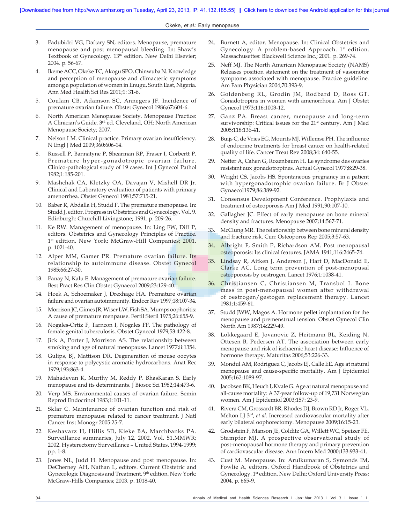- 3. Padubidri VG, Daftary SN, editors. Menopause, premature menopause and post menopausal bleeding. In: Shaw's Textbook of Gynecology. 13<sup>th</sup> edition. New Delhi Elsevier; 2004. p. 56‑67.
- 4. Ikeme ACC, Okeke TC, Akogu SPO, Chinwuba N. Knowledge and perception of menopause and climacteric symptoms among a population of women in Enugu, South East, Nigeria. Ann Med Health Sci Res 2011;1: 31-6.
- 5. Coulam CB, Adamson SC, Annegers JF. Incidence of premature ovarian failure. Obstet Gynecol 1986;67:604-6.
- North American Menopause Society. Menopause Practice: A Clinician's Guide. 3rd ed. Cleveland, OH: North American Menopause Society; 2007.
- 7. Nelson LM. Clinical practice. Primary ovarian insufficiency. N Engl J Med 2009;360:606‑14.
- 8. Russell P, Bannatyne P, Shearman RP, Fraser I, Corbertt P. Premature hyper‑gonadotropic ovarian failure. Clinico‑pathological study of 19 cases. Int J Gynecol Pathol 1982;1:185‑201.
- 9. Mashchak CA, Kletzky OA, Davajan V, Mishell DR Jr. Clinical and Laboratory evaluation of patients with primary amenorrhea. Obstet Gynecol 1981;57:715‑21.
- 10. Baber R, Abdalla H, Studd F. The premature menopause. In: Studd J, editor. Progress in Obstetrics and Gynecology. Vol. 9. Edinburgh: Churchill Livingstone; 1991. p. 209‑26.
- 11. Ke RW. Management of menopause. In: Ling FW, Diff P, editors. Obstetrics and Gynecology Principles of Practice. 1<sup>st</sup> edition. New York: McGraw-Hill Companies; 2001. p. 1021‑40.
- 12. Alper MM, Gamer PR. Premature ovarian failure. Its relationship to autoimmune disease. Obstet Gynecol 1985;66:27‑30.
- 13. Panay N, Kalu E. Management of premature ovarian failure. Best Pract Res Clin Obstet Gynaecol 2009;23:129-40.
- 14. Hoek A, Schoemaker J, Drexhage HA. Premature ovarian failure and ovarian autoimmunity. Endocr Rev 1997;18:107‑34.
- 15. Morrison JC, Gimes JR, WiserLW, Fish SA. Mumps oophoritis: A cause of premature menpause. Fertil Steril 1975;26:655‑9.
- 16. Nogales‑Ortiz F, Tarncon I, Nogales FF. The pathology of female genital tuberculosis. Obstet Gynecol 1979;53:422‑8.
- 17. Jick A, Porter J, Morrison AS. The relationship between smoking and age of natural menopause. Lancet 1977;ii:1354.
- 18. Gulips, BJ, Mattison DR. Degeneration of mouse oocytes in response to polycystic aromatic hydrocarbons. Anat Rec 1979;193:863‑4.
- 19. Mahadevan K, Murthy M, Reddy P. BhasKaran S. Early menopause and its determinants. J Biosoc Sci 1982;14:473‑6.
- 20. Verp MS. Environmental causes of ovarian failure. Semin Reprod Endocrinol 1983;1:101-11.
- 21. Sklar C. Maintenance of ovarian function and risk of premature menopause related to cancer treatment. J Natl Cancer Inst Monogr 2005:25‑7.
- 22. Keshavarz H, Hillis SD, Kieke BA, Marchbanks PA. Surveillance summaries, July 12, 2002. Vol. 51.MMWR; 2002. Hysterectomy Surveillance – United States, 1994‑1999; pp. 1‑8.
- 23. Jones NL, Judd H. Menopause and post menopause. In: DeCherney AH, Nathan L, editors. Current Obstetric and Gynecologic Diagnosis and Treatment. 9<sup>th</sup> edition. New York: McGraw‑Hills Companies; 2003. p. 1018‑40.
- 24. Burnett A, editor. Menopause. In: Clinical Obstetrics and Gynecology: A problem-based Approach. 1st edition. Massachusettes: Blackwell Science Inc.; 2001. p. 269‑74.
- 25. Neff MJ. The North American Menopause Society (NAMS) Releases position statement on the treatment of vasomotor symptoms associated with menopause. Practice guideline. Am Fam Physician 2004;70:393‑9.
- 26. Goldenberg RL, Grodin JM, Rodbard D, Ross GT. Gonadotropins in women with amenorrhoea. Am J Obstet Gynecol 1973;116:1003-12.
- 27. Ganz PA. Breast cancer, menopause and long-term survivorship: Critical issues for the 21<sup>st</sup> century. Am J Med 2005;118:136‑41.
- 28. Buijs C, de Vries EG, Mourits MJ, Willemse PH. The influence of endocrine treatments for breast cancer on health‑related quality of life. Cancer Treat Rev 2008;34: 640‑55.
- 29. Netter A, Cahen G, Rozenbaum H. Le syndrome des ovaries resistant aux gonadotropines. Actual Gynecol 1977;8:29‑38.
- 30. Wright CS, Jacobs HS. Spontaneous pregnancy in a patient with hypergonadotrophic ovarian failure. Br J Obstet Gynaecol1979;86:389-92.
- 31. Consensus Development Conference. Prophylaxis and treatment of osteoporosis Am J Med 1991;90:107‑10.
- 32. Gallagher JC. Effect of early menopause on bone mineral density and fractures. Menopause 2007;14:567‑71.
- 33. McClung MR. The relationship between bone mineral density and fracture risk. Curr Osteoporos Rep 2005;3:57‑63.
- 34. Albright F, Smith P, Richardson AM. Post menopausal osteoporosis: Its clinical features. JAMA 1941;116:2465‑74.
- 35. Lindsay R, Aitken J, Anderson J, Hart D, MacDonald E, Clarke AC. Long term prevention of post-menopusal osteoporosis by oestrogen. Lancet 1976;1:1038‑41.
- 36. Christiansen C, Christiansen M, Transbol I. Bone mass in post‑menopausal women after withdrawal of oestrogen/gestogen replacement therapy. Lancet 1981;1:459‑61.
- 37. Studd JWW, Magos A. Hormone pellet implantation for the menopause and premenstrual tension. Obstet Gynecol Clin North Am 1987;14:229-49.
- 38. Lokkegaard E, Jovanovic Z, Heitmann BL, Keiding N, Ottesen B, Pedersen AT. The association between early menopause and risk of ischaemic heart disease: Influence of hormone therapy. Maturitas 2006;53:226‑33.
- 39. Mondul AM, Rodriguez C, Jacobs EJ, Calle EE. Age at natural menopause and cause‑specific mortality. Am J Epidemiol 2005;162:1089‑97.
- 40. Jacobsen BK, Heuch I, Kvale G. Age at natural menopause and all‑cause mortality: A 37‑year follow‑up of 19,731 Norwegian women. Am J Epidemiol 2003;157: 23‑9.
- 41. Rivera CM, Grossardt BR, Rhodes DJ, Brown RD Jr, Roger VL, Melton LJ 3rd, *et al.* Increased cardiovascular mortality after early bilateral oophorectomy. Menopause 2009;16:15‑23.
- 42. Grodstein F, Manson JE, Colditz GA, Willett WC, Speizer FE, Stampfer MJ. A prospective observational study of post-menopausal hormone therapy and primary prevention of cardiovascular disease. Ann Intern Med 2000;133:933‑41.
- 43. Cust M. Menopause. In: Arulkumaran S, Symonds IM, Fowlie A, editors. Oxford Handbook of Obstetrics and Gynecology. 1st edition. New Delhi: Oxford University Press; 2004. p. 665‑9.